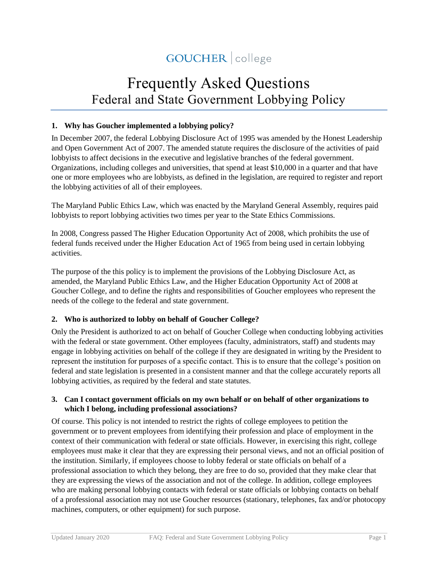# GOUCHER | college

# Frequently Asked Questions Federal and State Government Lobbying Policy

## **1. Why has Goucher implemented a lobbying policy?**

In December 2007, the federal Lobbying Disclosure Act of 1995 was amended by the Honest Leadership and Open Government Act of 2007. The amended statute requires the disclosure of the activities of paid lobbyists to affect decisions in the executive and legislative branches of the federal government. Organizations, including colleges and universities, that spend at least \$10,000 in a quarter and that have one or more employees who are lobbyists, as defined in the legislation, are required to register and report the lobbying activities of all of their employees.

The Maryland Public Ethics Law, which was enacted by the Maryland General Assembly, requires paid lobbyists to report lobbying activities two times per year to the State Ethics Commissions.

In 2008, Congress passed The Higher Education Opportunity Act of 2008, which prohibits the use of federal funds received under the Higher Education Act of 1965 from being used in certain lobbying activities.

The purpose of the this policy is to implement the provisions of the Lobbying Disclosure Act, as amended, the Maryland Public Ethics Law, and the Higher Education Opportunity Act of 2008 at Goucher College, and to define the rights and responsibilities of Goucher employees who represent the needs of the college to the federal and state government.

#### **2. Who is authorized to lobby on behalf of Goucher College?**

Only the President is authorized to act on behalf of Goucher College when conducting lobbying activities with the federal or state government. Other employees (faculty, administrators, staff) and students may engage in lobbying activities on behalf of the college if they are designated in writing by the President to represent the institution for purposes of a specific contact. This is to ensure that the college's position on federal and state legislation is presented in a consistent manner and that the college accurately reports all lobbying activities, as required by the federal and state statutes.

# **3. Can I contact government officials on my own behalf or on behalf of other organizations to which I belong, including professional associations?**

Of course. This policy is not intended to restrict the rights of college employees to petition the government or to prevent employees from identifying their profession and place of employment in the context of their communication with federal or state officials. However, in exercising this right, college employees must make it clear that they are expressing their personal views, and not an official position of the institution. Similarly, if employees choose to lobby federal or state officials on behalf of a professional association to which they belong, they are free to do so, provided that they make clear that they are expressing the views of the association and not of the college. In addition, college employees who are making personal lobbying contacts with federal or state officials or lobbying contacts on behalf of a professional association may not use Goucher resources (stationary, telephones, fax and/or photocopy machines, computers, or other equipment) for such purpose.